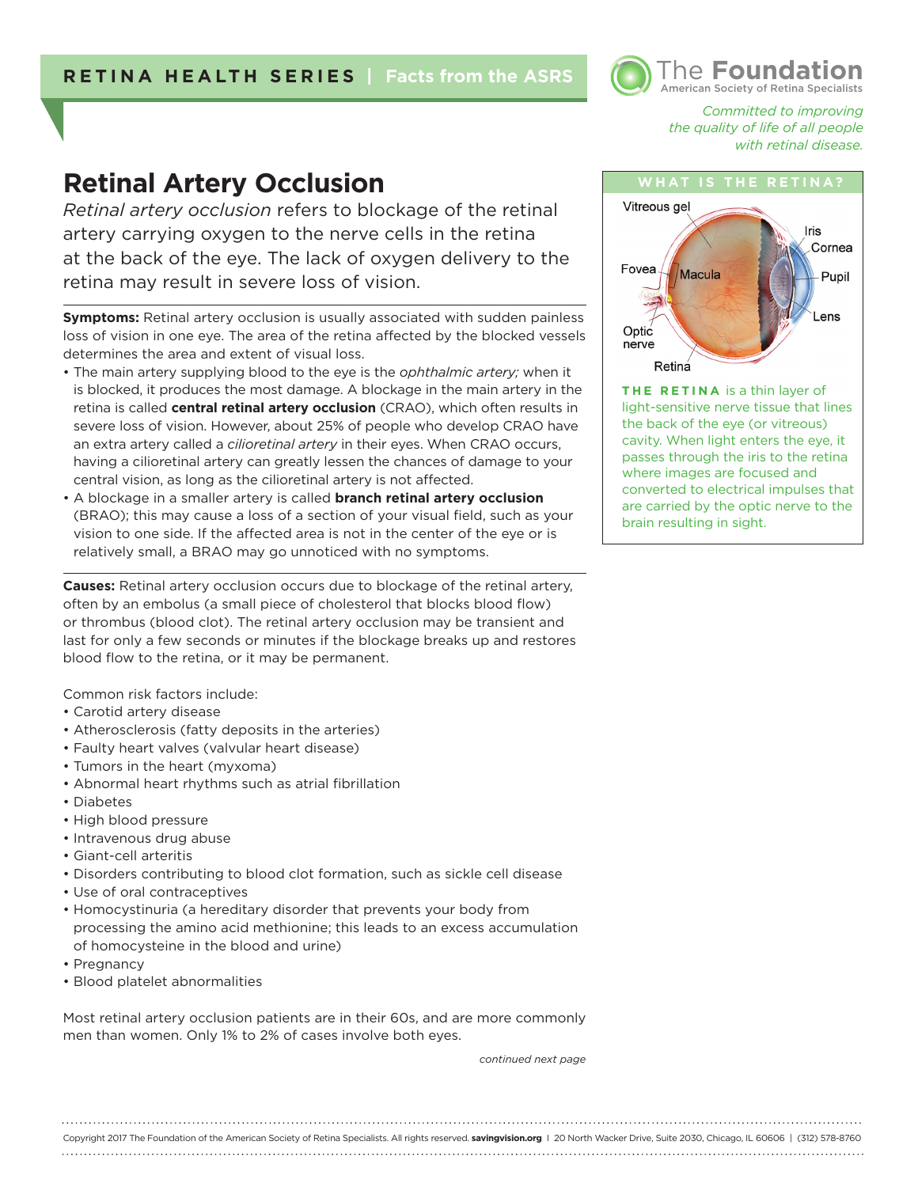## **RETINA HEALTH SERIES | Facts from the ASRS**



*Committed to improving the quality of life of all people with retinal disease.* 

# **Retinal Artery Occlusion**

*Retinal artery occlusion* refers to blockage of the retinal artery carrying oxygen to the nerve cells in the retina at the back of the eye. The lack of oxygen delivery to the retina may result in severe loss of vision.

**Symptoms:** Retinal artery occlusion is usually associated with sudden painless loss of vision in one eye. The area of the retina affected by the blocked vessels determines the area and extent of visual loss.

- The main artery supplying blood to the eye is the *ophthalmic artery;* when it is blocked, it produces the most damage. A blockage in the main artery in the retina is called **central retinal artery occlusion** (CRAO), which often results in severe loss of vision. However, about 25% of people who develop CRAO have an extra artery called a *cilioretinal artery* in their eyes. When CRAO occurs, having a cilioretinal artery can greatly lessen the chances of damage to your central vision, as long as the cilioretinal artery is not affected.
- A blockage in a smaller artery is called **branch retinal artery occlusion** (BRAO); this may cause a loss of a section of your visual field, such as your vision to one side. If the affected area is not in the center of the eye or is relatively small, a BRAO may go unnoticed with no symptoms.

**Causes:** Retinal artery occlusion occurs due to blockage of the retinal artery, often by an embolus (a small piece of cholesterol that blocks blood flow) or thrombus (blood clot). The retinal artery occlusion may be transient and last for only a few seconds or minutes if the blockage breaks up and restores blood flow to the retina, or it may be permanent.

Common risk factors include:

- Carotid artery disease
- Atherosclerosis (fatty deposits in the arteries)
- Faulty heart valves (valvular heart disease)
- Tumors in the heart (myxoma)
- Abnormal heart rhythms such as atrial fibrillation
- Diabetes
- High blood pressure
- Intravenous drug abuse
- Giant-cell arteritis
- Disorders contributing to blood clot formation, such as sickle cell disease
- Use of oral contraceptives
- Homocystinuria (a hereditary disorder that prevents your body from processing the amino acid methionine; this leads to an excess accumulation of homocysteine in the blood and urine)
- Pregnancy
- Blood platelet abnormalities

Most retinal artery occlusion patients are in their 60s, and are more commonly men than women. Only 1% to 2% of cases involve both eyes.

*continued next page*



**THE RETINA** is a thin layer of light-sensitive nerve tissue that lines the back of the eye (or vitreous) cavity. When light enters the eye, it passes through the iris to the retina where images are focused and converted to electrical impulses that are carried by the optic nerve to the brain resulting in sight.

Copyright 2017 The Foundation of the American Society of Retina Specialists. All rights reserved. **savingvision.org** I 20 North Wacker Drive, Suite 2030, Chicago, IL 60606 | (312) 578-8760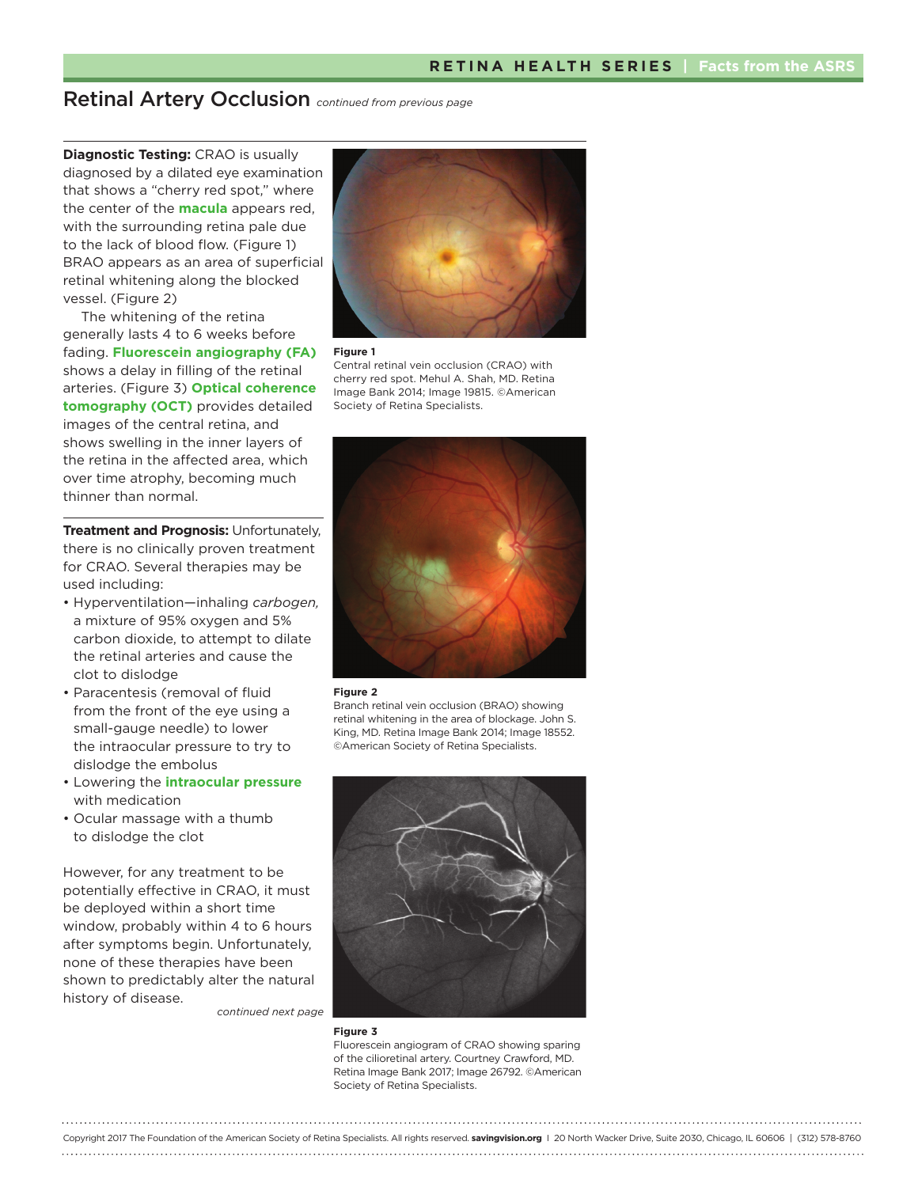## Retinal Artery Occlusion *continued from previous page*

**Diagnostic Testing: CRAO is usually** diagnosed by a dilated eye examination that shows a "cherry red spot," where the center of the **macula** appears red, with the surrounding retina pale due to the lack of blood flow. (Figure 1) BRAO appears as an area of superficial retinal whitening along the blocked vessel. (Figure 2)

The whitening of the retina generally lasts 4 to 6 weeks before fading. **Fluorescein angiography (FA)** shows a delay in filling of the retinal arteries. (Figure 3) **Optical coherence tomography (OCT)** provides detailed images of the central retina, and shows swelling in the inner layers of the retina in the affected area, which over time atrophy, becoming much thinner than normal.

**Treatment and Prognosis: Unfortunately,** there is no clinically proven treatment for CRAO. Several therapies may be used including:

- Hyperventilation—inhaling *carbogen,*  a mixture of 95% oxygen and 5% carbon dioxide, to attempt to dilate the retinal arteries and cause the clot to dislodge
- Paracentesis (removal of fluid from the front of the eye using a small-gauge needle) to lower the intraocular pressure to try to dislodge the embolus
- Lowering the **intraocular pressure** with medication
- Ocular massage with a thumb to dislodge the clot

However, for any treatment to be potentially effective in CRAO, it must be deployed within a short time window, probably within 4 to 6 hours after symptoms begin. Unfortunately, none of these therapies have been shown to predictably alter the natural history of disease.

*continued next page*



#### **Figure 1**

Central retinal vein occlusion (CRAO) with cherry red spot. Mehul A. Shah, MD. Retina Image Bank 2014; Image 19815. ©American Society of Retina Specialists.



#### **Figure 2**

Branch retinal vein occlusion (BRAO) showing retinal whitening in the area of blockage. John S. King, MD. Retina Image Bank 2014; Image 18552. ©American Society of Retina Specialists.



#### **Figure 3**

Fluorescein angiogram of CRAO showing sparing of the cilioretinal artery. Courtney Crawford, MD. Retina Image Bank 2017; Image 26792. ©American Society of Retina Specialists.

Copyright 2017 The Foundation of the American Society of Retina Specialists. All rights reserved. **savingvision.org** I 20 North Wacker Drive, Suite 2030, Chicago, IL 60606 | (312) 578-8760